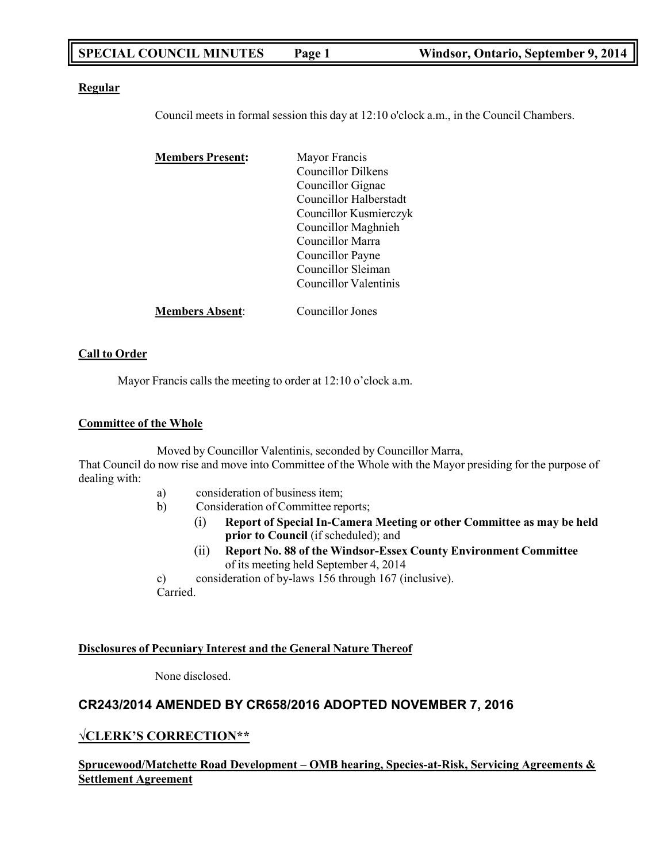# **SPECIAL COUNCIL MINUTES Page 1 Windsor, Ontario, September 9, 2014**

### **Regular**

Council meets in formal session this day at 12:10 o'clock a.m., in the Council Chambers.

| <b>Members Present:</b> | Mayor Francis<br>Councillor Dilkens |  |
|-------------------------|-------------------------------------|--|
|                         |                                     |  |
|                         | Councillor Gignac                   |  |
|                         | Councillor Halberstadt              |  |
|                         | Councillor Kusmierczyk              |  |
|                         | Councillor Maghnieh                 |  |
|                         | Councillor Marra                    |  |
|                         | Councillor Payne                    |  |
|                         | Councillor Sleiman                  |  |
|                         | Councillor Valentinis               |  |
| <b>Members Absent:</b>  | Councillor Jones                    |  |

### **Call to Order**

Mayor Francis calls the meeting to order at 12:10 o'clock a.m.

### **Committee of the Whole**

Moved by Councillor Valentinis, seconded by Councillor Marra,

That Council do now rise and move into Committee of the Whole with the Mayor presiding for the purpose of dealing with:

- a) consideration of business item;
- b) Consideration of Committee reports;
	- (i) **Report of Special In-Camera Meeting or other Committee as may be held prior to Council** (if scheduled); and
	- (ii) **Report No. 88 of the Windsor-Essex County Environment Committee** of its meeting held September 4, 2014
- c) consideration of by-laws 156 through 167 (inclusive). Carried.

### **Disclosures of Pecuniary Interest and the General Nature Thereof**

None disclosed.

# **CR243/2014 AMENDED BY CR658/2016 ADOPTED NOVEMBER 7, 2016**

## **√CLERK'S CORRECTION\*\***

## **Sprucewood/Matchette Road Development – OMB hearing, Species-at-Risk, Servicing Agreements & Settlement Agreement**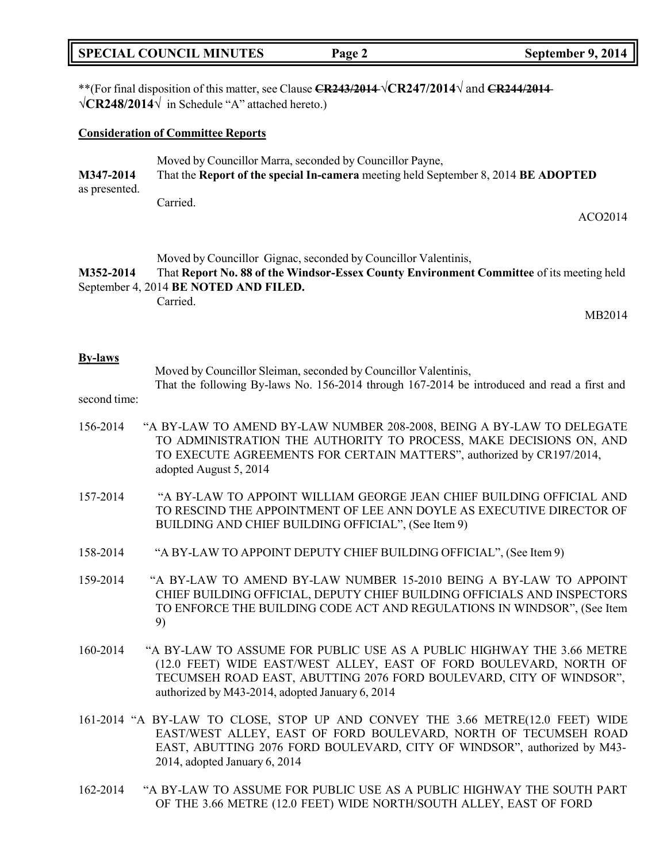| <b>SPECIAL COUNCIL MINUTES</b> | Page 2 | September 9, 2014 |
|--------------------------------|--------|-------------------|
|--------------------------------|--------|-------------------|

\*\*(For final disposition of this matter, see Clause **CR243/2014** √**CR247/2014**√ and **CR244/2014** √**CR248/2014**√ in Schedule "A" attached hereto.)

#### **Consideration of Committee Reports**

|               | Moved by Councillor Marra, seconded by Councillor Payne,                           |  |  |
|---------------|------------------------------------------------------------------------------------|--|--|
| M347-2014     | That the Report of the special In-camera meeting held September 8, 2014 BE ADOPTED |  |  |
| as presented. |                                                                                    |  |  |
|               | Carried.                                                                           |  |  |

Moved by Councillor Gignac, seconded by Councillor Valentinis,

**M352-2014** That **Report No. 88 of the Windsor-Essex County Environment Committee** of its meeting held September 4, 2014 **BE NOTED AND FILED.**

Carried.

MB2014

ACO2014

#### **By-laws**

Moved by Councillor Sleiman, seconded by Councillor Valentinis,

That the following By-laws No. 156-2014 through 167-2014 be introduced and read a first and

#### second time:

- 156-2014 "A BY-LAW TO AMEND BY-LAW NUMBER 208-2008, BEING A BY-LAW TO DELEGATE TO ADMINISTRATION THE AUTHORITY TO PROCESS, MAKE DECISIONS ON, AND TO EXECUTE AGREEMENTS FOR CERTAIN MATTERS", authorized by CR197/2014, adopted August 5, 2014
- 157-2014 "A BY-LAW TO APPOINT WILLIAM GEORGE JEAN CHIEF BUILDING OFFICIAL AND TO RESCIND THE APPOINTMENT OF LEE ANN DOYLE AS EXECUTIVE DIRECTOR OF BUILDING AND CHIEF BUILDING OFFICIAL", (See Item 9)
- 158-2014 "A BY-LAW TO APPOINT DEPUTY CHIEF BUILDING OFFICIAL", (See Item 9)
- 159-2014 "A BY-LAW TO AMEND BY-LAW NUMBER 15-2010 BEING A BY-LAW TO APPOINT CHIEF BUILDING OFFICIAL, DEPUTY CHIEF BUILDING OFFICIALS AND INSPECTORS TO ENFORCE THE BUILDING CODE ACT AND REGULATIONS IN WINDSOR", (See Item 9)
- 160-2014 "A BY-LAW TO ASSUME FOR PUBLIC USE AS A PUBLIC HIGHWAY THE 3.66 METRE (12.0 FEET) WIDE EAST/WEST ALLEY, EAST OF FORD BOULEVARD, NORTH OF TECUMSEH ROAD EAST, ABUTTING 2076 FORD BOULEVARD, CITY OF WINDSOR", authorized by M43-2014, adopted January 6, 2014
- 161-2014 "A BY-LAW TO CLOSE, STOP UP AND CONVEY THE 3.66 METRE(12.0 FEET) WIDE EAST/WEST ALLEY, EAST OF FORD BOULEVARD, NORTH OF TECUMSEH ROAD EAST, ABUTTING 2076 FORD BOULEVARD, CITY OF WINDSOR", authorized by M43- 2014, adopted January 6, 2014
- 162-2014 "A BY-LAW TO ASSUME FOR PUBLIC USE AS A PUBLIC HIGHWAY THE SOUTH PART OF THE 3.66 METRE (12.0 FEET) WIDE NORTH/SOUTH ALLEY, EAST OF FORD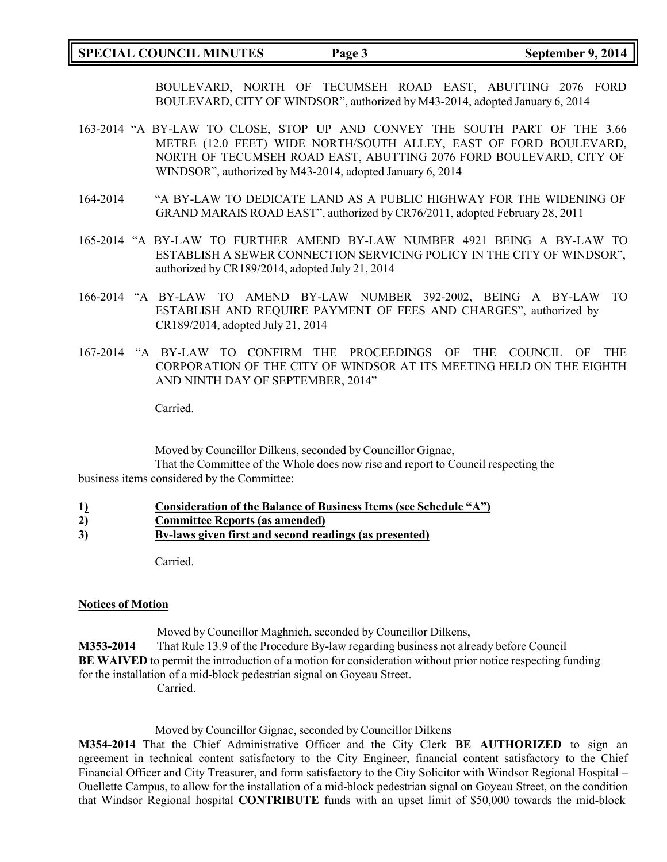## **SPECIAL COUNCIL MINUTES Page 3 September 9, 2014**

BOULEVARD, NORTH OF TECUMSEH ROAD EAST, ABUTTING 2076 FORD BOULEVARD, CITY OF WINDSOR", authorized by M43-2014, adopted January 6, 2014

- 163-2014 "A BY-LAW TO CLOSE, STOP UP AND CONVEY THE SOUTH PART OF THE 3.66 METRE (12.0 FEET) WIDE NORTH/SOUTH ALLEY, EAST OF FORD BOULEVARD, NORTH OF TECUMSEH ROAD EAST, ABUTTING 2076 FORD BOULEVARD, CITY OF WINDSOR", authorized by M43-2014, adopted January 6, 2014
- 164-2014 "A BY-LAW TO DEDICATE LAND AS A PUBLIC HIGHWAY FOR THE WIDENING OF GRAND MARAIS ROAD EAST", authorized by CR76/2011, adopted February 28, 2011
- 165-2014 "A BY-LAW TO FURTHER AMEND BY-LAW NUMBER 4921 BEING A BY-LAW TO ESTABLISH A SEWER CONNECTION SERVICING POLICY IN THE CITY OF WINDSOR", authorized by CR189/2014, adopted July 21, 2014
- 166-2014 "A BY-LAW TO AMEND BY-LAW NUMBER 392-2002, BEING A BY-LAW TO ESTABLISH AND REQUIRE PAYMENT OF FEES AND CHARGES", authorized by CR189/2014, adopted July 21, 2014
- 167-2014 "A BY-LAW TO CONFIRM THE PROCEEDINGS OF THE COUNCIL OF THE CORPORATION OF THE CITY OF WINDSOR AT ITS MEETING HELD ON THE EIGHTH AND NINTH DAY OF SEPTEMBER, 2014"

Carried.

Moved by Councillor Dilkens, seconded by Councillor Gignac, That the Committee of the Whole does now rise and report to Council respecting the

business items considered by the Committee:

- **1) Consideration of the Balance of Business Items (see Schedule "A")**
- **2) Committee Reports (as amended)**
- **3) By-laws given first and second readings (as presented)**

Carried.

## **Notices of Motion**

Moved by Councillor Maghnieh, seconded by Councillor Dilkens,

**M353-2014** That Rule 13.9 of the Procedure By-law regarding business not already before Council **BE WAIVED** to permit the introduction of a motion for consideration without prior notice respecting funding for the installation of a mid-block pedestrian signal on Goyeau Street. Carried.

Moved by Councillor Gignac, seconded by Councillor Dilkens

**M354-2014** That the Chief Administrative Officer and the City Clerk **BE AUTHORIZED** to sign an agreement in technical content satisfactory to the City Engineer, financial content satisfactory to the Chief Financial Officer and City Treasurer, and form satisfactory to the City Solicitor with Windsor Regional Hospital – Ouellette Campus, to allow for the installation of a mid-block pedestrian signal on Goyeau Street, on the condition that Windsor Regional hospital **CONTRIBUTE** funds with an upset limit of \$50,000 towards the mid-block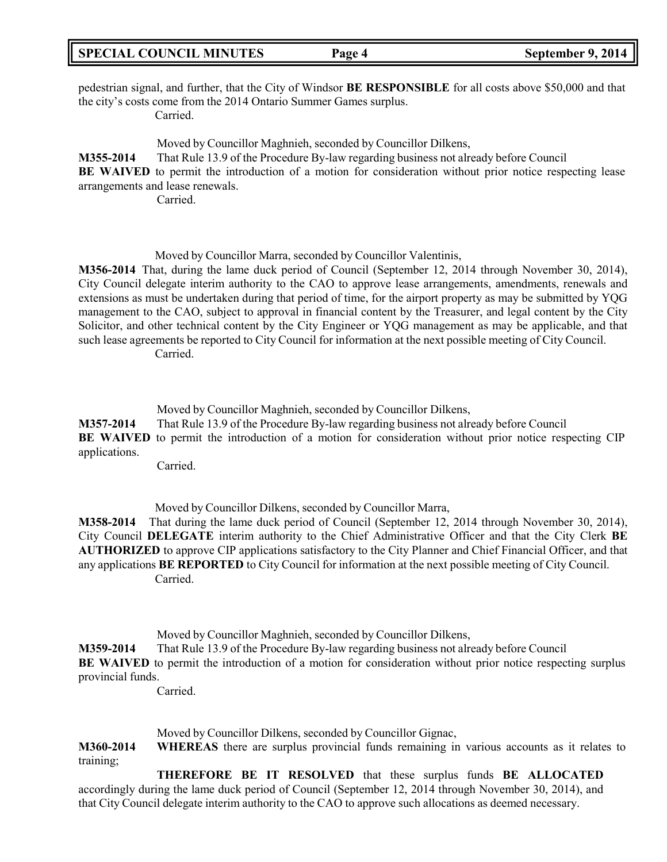pedestrian signal, and further, that the City of Windsor **BE RESPONSIBLE** for all costs above \$50,000 and that the city's costs come from the 2014 Ontario Summer Games surplus. Carried.

Moved by Councillor Maghnieh, seconded by Councillor Dilkens, **M355-2014** That Rule 13.9 of the Procedure By-law regarding business not already before Council **BE WAIVED** to permit the introduction of a motion for consideration without prior notice respecting lease arrangements and lease renewals.

Carried.

Moved by Councillor Marra, seconded by Councillor Valentinis,

**M356-2014** That, during the lame duck period of Council (September 12, 2014 through November 30, 2014), City Council delegate interim authority to the CAO to approve lease arrangements, amendments, renewals and extensions as must be undertaken during that period of time, for the airport property as may be submitted by YQG management to the CAO, subject to approval in financial content by the Treasurer, and legal content by the City Solicitor, and other technical content by the City Engineer or YQG management as may be applicable, and that such lease agreements be reported to City Council for information at the next possible meeting of City Council. Carried.

Moved by Councillor Maghnieh, seconded by Councillor Dilkens,

**M357-2014** That Rule 13.9 of the Procedure By-law regarding business not already before Council **BE WAIVED** to permit the introduction of a motion for consideration without prior notice respecting CIP applications.

Carried.

Moved by Councillor Dilkens, seconded by Councillor Marra,

**M358-2014** That during the lame duck period of Council (September 12, 2014 through November 30, 2014), City Council **DELEGATE** interim authority to the Chief Administrative Officer and that the City Clerk **BE AUTHORIZED** to approve CIP applications satisfactory to the City Planner and Chief Financial Officer, and that any applications **BE REPORTED** to City Council for information at the next possible meeting of City Council. Carried.

Moved by Councillor Maghnieh, seconded by Councillor Dilkens, **M359-2014** That Rule 13.9 of the Procedure By-law regarding business not already before Council

**BE WAIVED** to permit the introduction of a motion for consideration without prior notice respecting surplus provincial funds.

Carried.

Moved by Councillor Dilkens, seconded by Councillor Gignac,

**M360-2014 WHEREAS** there are surplus provincial funds remaining in various accounts as it relates to training;

**THEREFORE BE IT RESOLVED** that these surplus funds **BE ALLOCATED** accordingly during the lame duck period of Council (September 12, 2014 through November 30, 2014), and that City Council delegate interim authority to the CAO to approve such allocations as deemed necessary.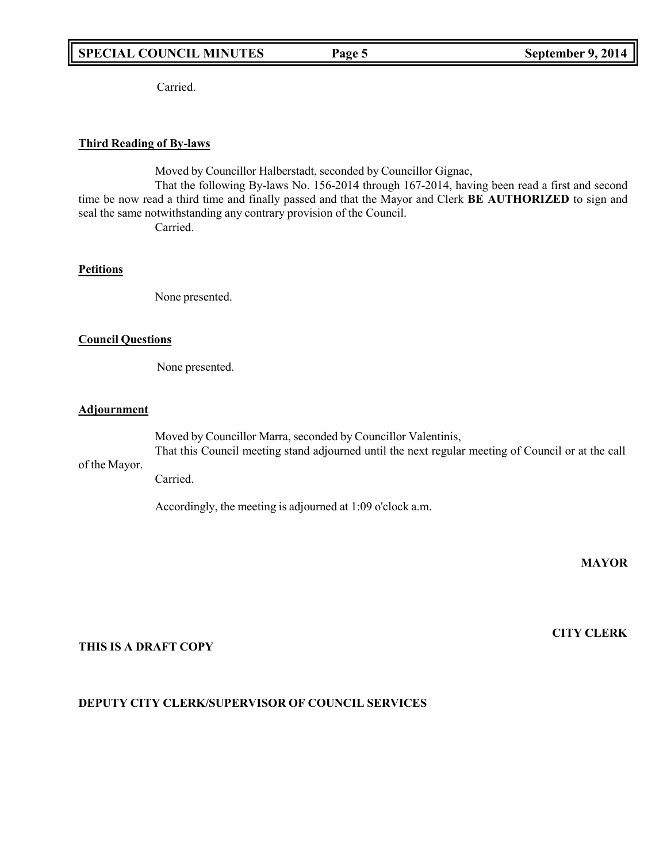# **SPECIAL COUNCIL MINUTES Page 5 September 9, 2014**

Carried.

#### **Third Reading of By-laws**

Moved by Councillor Halberstadt, seconded by Councillor Gignac,

That the following By-laws No. 156-2014 through 167-2014, having been read a first and second time be now read a third time and finally passed and that the Mayor and Clerk **BE AUTHORIZED** to sign and seal the same notwithstanding any contrary provision of the Council.

Carried.

#### **Petitions**

None presented.

#### **Council Questions**

None presented.

#### **Adjournment**

of the Mayor. Moved by Councillor Marra, seconded by Councillor Valentinis, That this Council meeting stand adjourned until the next regular meeting of Council or at the call

Carried.

Accordingly, the meeting is adjourned at 1:09 o'clock a.m.

**MAYOR**

## **THIS IS A DRAFT COPY**

### **DEPUTY CITY CLERK/SUPERVISOR OF COUNCIL SERVICES**

**CITY CLERK**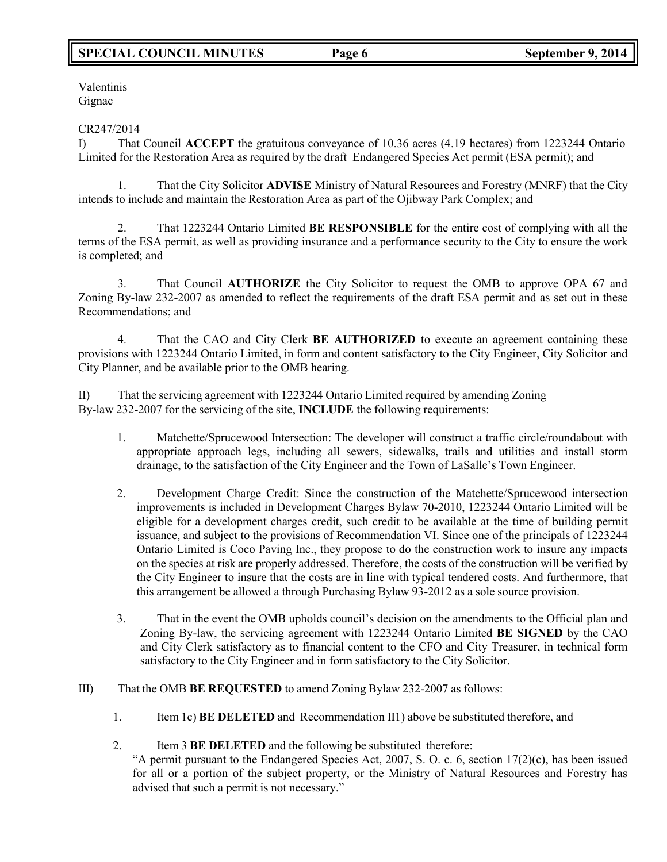# **SPECIAL COUNCIL MINUTES Page 6 September 9, 2014**

Valentinis Gignac

#### CR247/2014

I) That Council **ACCEPT** the gratuitous conveyance of 10.36 acres (4.19 hectares) from 1223244 Ontario Limited for the Restoration Area as required by the draft Endangered Species Act permit (ESA permit); and

1. That the City Solicitor **ADVISE** Ministry of Natural Resources and Forestry (MNRF) that the City intends to include and maintain the Restoration Area as part of the Ojibway Park Complex; and

2. That 1223244 Ontario Limited **BE RESPONSIBLE** for the entire cost of complying with all the terms of the ESA permit, as well as providing insurance and a performance security to the City to ensure the work is completed; and

3. That Council **AUTHORIZE** the City Solicitor to request the OMB to approve OPA 67 and Zoning By-law 232-2007 as amended to reflect the requirements of the draft ESA permit and as set out in these Recommendations; and

4. That the CAO and City Clerk **BE AUTHORIZED** to execute an agreement containing these provisions with 1223244 Ontario Limited, in form and content satisfactory to the City Engineer, City Solicitor and City Planner, and be available prior to the OMB hearing.

II) That the servicing agreement with 1223244 Ontario Limited required by amending Zoning By-law 232-2007 for the servicing of the site, **INCLUDE** the following requirements:

- 1. Matchette/Sprucewood Intersection: The developer will construct a traffic circle/roundabout with appropriate approach legs, including all sewers, sidewalks, trails and utilities and install storm drainage, to the satisfaction of the City Engineer and the Town of LaSalle's Town Engineer.
- 2. Development Charge Credit: Since the construction of the Matchette/Sprucewood intersection improvements is included in Development Charges Bylaw 70-2010, 1223244 Ontario Limited will be eligible for a development charges credit, such credit to be available at the time of building permit issuance, and subject to the provisions of Recommendation VI. Since one of the principals of 1223244 Ontario Limited is Coco Paving Inc., they propose to do the construction work to insure any impacts on the species at risk are properly addressed. Therefore, the costs of the construction will be verified by the City Engineer to insure that the costs are in line with typical tendered costs. And furthermore, that this arrangement be allowed a through Purchasing Bylaw 93-2012 as a sole source provision.
- 3. That in the event the OMB upholds council's decision on the amendments to the Official plan and Zoning By-law, the servicing agreement with 1223244 Ontario Limited **BE SIGNED** by the CAO and City Clerk satisfactory as to financial content to the CFO and City Treasurer, in technical form satisfactory to the City Engineer and in form satisfactory to the City Solicitor.
- III) That the OMB **BE REQUESTED** to amend Zoning Bylaw 232-2007 as follows:
	- 1. Item 1c) **BE DELETED** and Recommendation II1) above be substituted therefore, and
	- 2. Item 3 **BE DELETED** and the following be substituted therefore:

"A permit pursuant to the Endangered Species Act, 2007, S. O. c. 6, section  $17(2)(c)$ , has been issued for all or a portion of the subject property, or the Ministry of Natural Resources and Forestry has advised that such a permit is not necessary."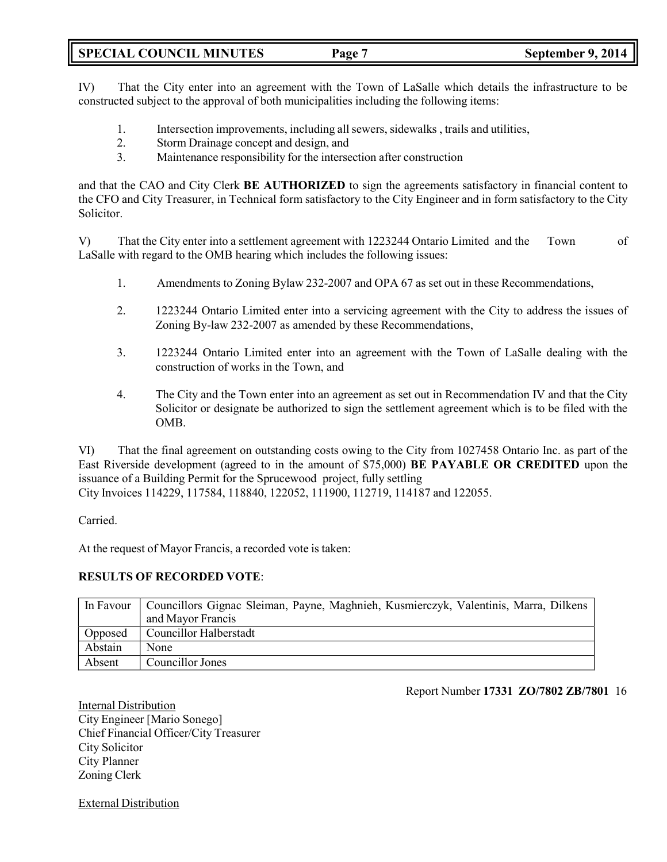**SPECIAL COUNCIL MINUTES Page 7 September 9, 2014**

IV) That the City enter into an agreement with the Town of LaSalle which details the infrastructure to be constructed subject to the approval of both municipalities including the following items:

- 1. Intersection improvements, including allsewers, sidewalks , trails and utilities,
- 2. Storm Drainage concept and design, and
- 3. Maintenance responsibility for the intersection after construction

and that the CAO and City Clerk **BE AUTHORIZED** to sign the agreements satisfactory in financial content to the CFO and City Treasurer, in Technical form satisfactory to the City Engineer and in form satisfactory to the City Solicitor.

V) That the City enter into a settlement agreement with 1223244 Ontario Limited and the Town of LaSalle with regard to the OMB hearing which includes the following issues:

- 1. Amendments to Zoning Bylaw 232-2007 and OPA 67 as set out in these Recommendations,
- 2. 1223244 Ontario Limited enter into a servicing agreement with the City to address the issues of Zoning By-law 232-2007 as amended by these Recommendations,
- 3. 1223244 Ontario Limited enter into an agreement with the Town of LaSalle dealing with the construction of works in the Town, and
- 4. The City and the Town enter into an agreement as set out in Recommendation IV and that the City Solicitor or designate be authorized to sign the settlement agreement which is to be filed with the OMB.

VI) That the final agreement on outstanding costs owing to the City from 1027458 Ontario Inc. as part of the East Riverside development (agreed to in the amount of \$75,000) **BE PAYABLE OR CREDITED** upon the issuance of a Building Permit for the Sprucewood project, fully settling City Invoices 114229, 117584, 118840, 122052, 111900, 112719, 114187 and 122055.

Carried.

At the request of Mayor Francis, a recorded vote is taken:

### **RESULTS OF RECORDED VOTE**:

| In Favour | Councillors Gignac Sleiman, Payne, Maghnieh, Kusmierczyk, Valentinis, Marra, Dilkens |
|-----------|--------------------------------------------------------------------------------------|
|           | and Mayor Francis                                                                    |
| Opposed   | <b>Councillor Halberstadt</b>                                                        |
| Abstain   | None                                                                                 |
| Absent    | Councillor Jones                                                                     |

Report Number **17331 ZO/7802 ZB/7801** 16

Internal Distribution City Engineer [Mario Sonego] Chief Financial Officer/City Treasurer City Solicitor City Planner Zoning Clerk

External Distribution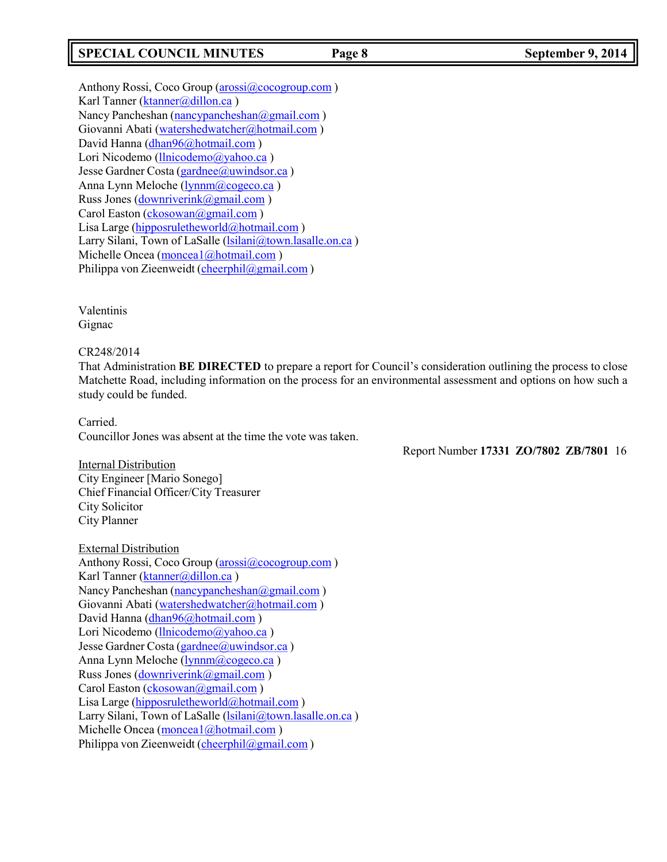# **SPECIAL COUNCIL MINUTES Page 8 September 9, 2014**

Anthony Rossi, Coco Group [\(arossi@cocogroup.com](mailto:arossi@cocogroup.com) ) Karl Tanner [\(ktanner@dillon.ca](mailto:ktanner@dillon.ca)) Nancy Pancheshan [\(nancypancheshan@gmail.com](mailto:nancypancheshan@gmail.com)) Giovanni Abati [\(watershedwatcher@hotmail.com](mailto:watershedwatcher@hotmail.com) ) David Hanna [\(dhan96@hotmail.com](mailto:dhan96@hotmail.com) ) Lori Nicodemo [\(llnicodemo@yahoo.ca](mailto:llnicodemo@yahoo.ca)) Jesse Gardner Costa [\(gardnee@uwindsor.ca](mailto:gardnee@uwindsor.ca)) Anna Lynn Meloche [\(lynnm@cogeco.ca](mailto:lynnm@cogeco.ca)) Russ Jones [\(downriverink@gmail.com](mailto:downriverink@gmail.com) ) Carol Easton [\(ckosowan@gmail.com](mailto:ckosowan@gmail.com)) Lisa Large [\(hipposruletheworld@hotmail.com](mailto:hipposruletheworld@hotmail.com) ) Larry Silani, Town of LaSalle [\(lsilani@town.lasalle.on.ca](mailto:lsilani@town.lasalle.on.ca)) Michelle Oncea [\(moncea1@hotmail.com](mailto:moncea1@hotmail.com)) Philippa von Zieenweidt [\(cheerphil@gmail.com](mailto:cheerphil@gmail.com))

Valentinis Gignac

CR248/2014

That Administration **BE DIRECTED** to prepare a report for Council's consideration outlining the process to close Matchette Road, including information on the process for an environmental assessment and options on how such a study could be funded.

Carried. Councillor Jones was absent at the time the vote was taken.

Report Number **17331 ZO/7802 ZB/7801** 16

Internal Distribution City Engineer [Mario Sonego] Chief Financial Officer/City Treasurer City Solicitor City Planner

External Distribution Anthony Rossi, Coco Group [\(arossi@cocogroup.com](mailto:arossi@cocogroup.com)) Karl Tanner [\(ktanner@dillon.ca](mailto:ktanner@dillon.ca)) Nancy Pancheshan [\(nancypancheshan@gmail.com](mailto:nancypancheshan@gmail.com)) Giovanni Abati [\(watershedwatcher@hotmail.com](mailto:watershedwatcher@hotmail.com)) David Hanna [\(dhan96@hotmail.com](mailto:dhan96@hotmail.com) ) Lori Nicodemo [\(llnicodemo@yahoo.ca](mailto:llnicodemo@yahoo.ca)) Jesse Gardner Costa [\(gardnee@uwindsor.ca](mailto:gardnee@uwindsor.ca)) Anna Lynn Meloche [\(lynnm@cogeco.ca](mailto:lynnm@cogeco.ca) ) Russ Jones [\(downriverink@gmail.com](mailto:downriverink@gmail.com) ) Carol Easton [\(ckosowan@gmail.com](mailto:ckosowan@gmail.com)) Lisa Large [\(hipposruletheworld@hotmail.com](mailto:hipposruletheworld@hotmail.com) ) Larry Silani, Town of LaSalle [\(lsilani@town.lasalle.on.ca](mailto:lsilani@town.lasalle.on.ca)) Michelle Oncea (monceal@hotmail.com) Philippa von Zieenweidt [\(cheerphil@gmail.com](mailto:cheerphil@gmail.com))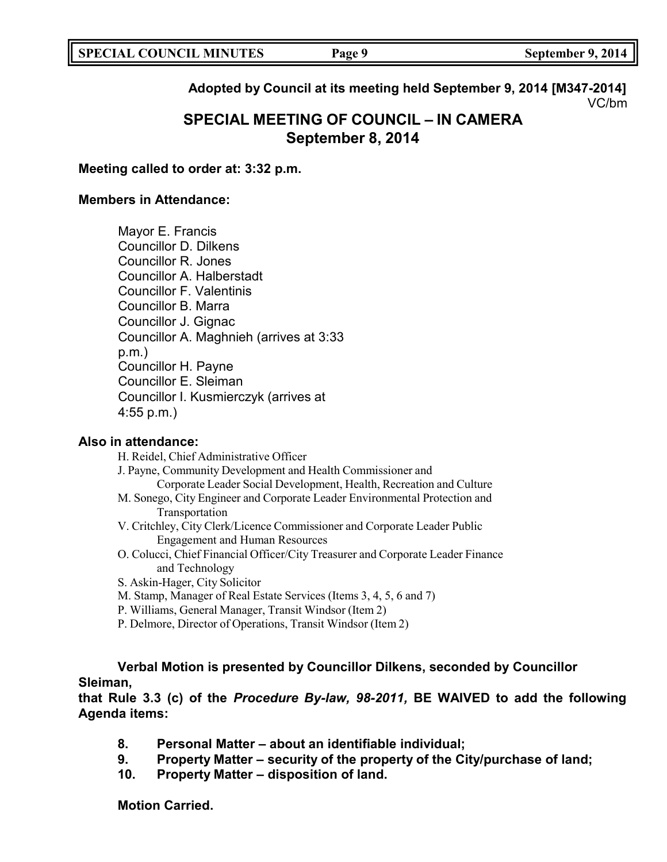# **Adopted by Council at its meeting held September 9, 2014 [M347-2014]** VC/bm

# **SPECIAL MEETING OF COUNCIL – IN CAMERA September 8, 2014**

## **Meeting called to order at: 3:32 p.m.**

# **Members in Attendance:**

Mayor E. Francis Councillor D. Dilkens Councillor R. Jones Councillor A. Halberstadt Councillor F. Valentinis Councillor B. Marra Councillor J. Gignac Councillor A. Maghnieh (arrives at 3:33 p.m.) Councillor H. Payne Councillor E. Sleiman Councillor I. Kusmierczyk (arrives at 4:55 p.m.)

## **Also in attendance:**

H. Reidel, Chief Administrative Officer J. Payne, Community Development and Health Commissioner and Corporate Leader Social Development, Health, Recreation and Culture M. Sonego, City Engineer and Corporate Leader Environmental Protection and Transportation V. Critchley, City Clerk/Licence Commissioner and Corporate Leader Public Engagement and Human Resources O. Colucci, Chief Financial Officer/City Treasurer and Corporate Leader Finance and Technology S. Askin-Hager, City Solicitor M. Stamp, Manager of Real Estate Services (Items 3, 4, 5, 6 and 7)

- P. Williams, General Manager, Transit Windsor (Item 2)
- P. Delmore, Director of Operations, Transit Windsor (Item 2)

# **Verbal Motion is presented by Councillor Dilkens, seconded by Councillor Sleiman,**

**that Rule 3.3 (c) of the** *Procedure By-law, 98-2011,* **BE WAIVED to add the following Agenda items:**

- **8. Personal Matter – about an identifiable individual;**
- **9. Property Matter – security of the property of the City/purchase of land;**
- **10. Property Matter – disposition of land.**

**Motion Carried.**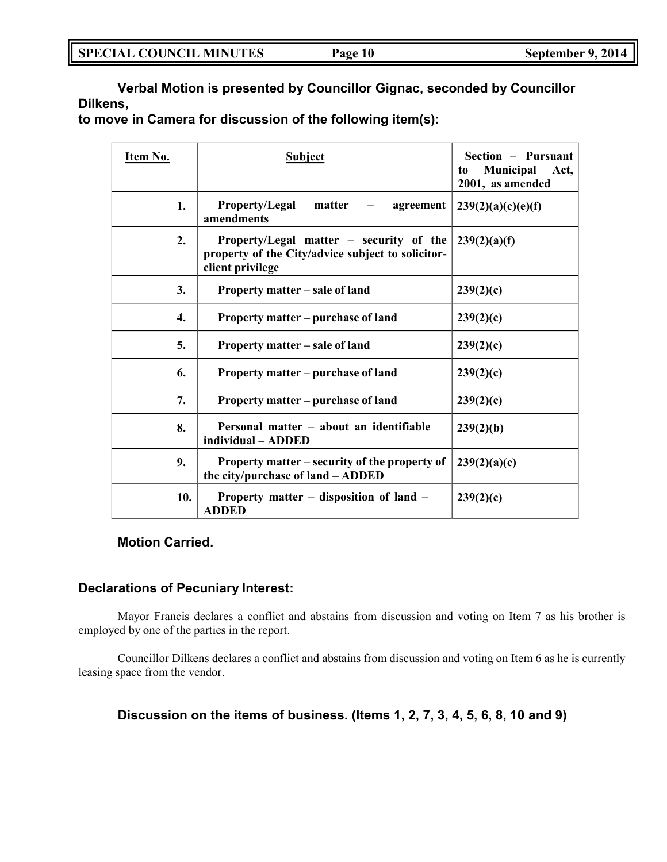**Verbal Motion is presented by Councillor Gignac, seconded by Councillor Dilkens,**

**to move in Camera for discussion of the following item(s):**

| <u>Item No.</u> | <b>Subject</b>                                                                                                   | Section – Pursuant<br>Municipal<br>Act,<br>to<br>2001, as amended |
|-----------------|------------------------------------------------------------------------------------------------------------------|-------------------------------------------------------------------|
| 1.              | <b>Property/Legal</b><br>matter<br>agreement<br>amendments                                                       | 239(2)(a)(c)(e)(f)                                                |
| 2.              | Property/Legal matter – security of the<br>property of the City/advice subject to solicitor-<br>client privilege | 239(2)(a)(f)                                                      |
| 3.              | Property matter – sale of land                                                                                   | 239(2)(c)                                                         |
| 4.              | Property matter – purchase of land                                                                               | 239(2)(c)                                                         |
| 5.              | Property matter – sale of land                                                                                   | 239(2)(c)                                                         |
| 6.              | Property matter – purchase of land                                                                               | 239(2)(c)                                                         |
| 7.              | Property matter – purchase of land                                                                               | 239(2)(c)                                                         |
| 8.              | Personal matter – about an identifiable<br>individual - ADDED                                                    | 239(2)(b)                                                         |
| 9.              | Property matter – security of the property of<br>the city/purchase of land - ADDED                               | 239(2)(a)(c)                                                      |
| 10.             | Property matter – disposition of land –<br><b>ADDED</b>                                                          | 239(2)(c)                                                         |

**Motion Carried.**

# **Declarations of Pecuniary Interest:**

Mayor Francis declares a conflict and abstains from discussion and voting on Item 7 as his brother is employed by one of the parties in the report.

Councillor Dilkens declares a conflict and abstains from discussion and voting on Item 6 as he is currently leasing space from the vendor.

# **Discussion on the items of business. (Items 1, 2, 7, 3, 4, 5, 6, 8, 10 and 9)**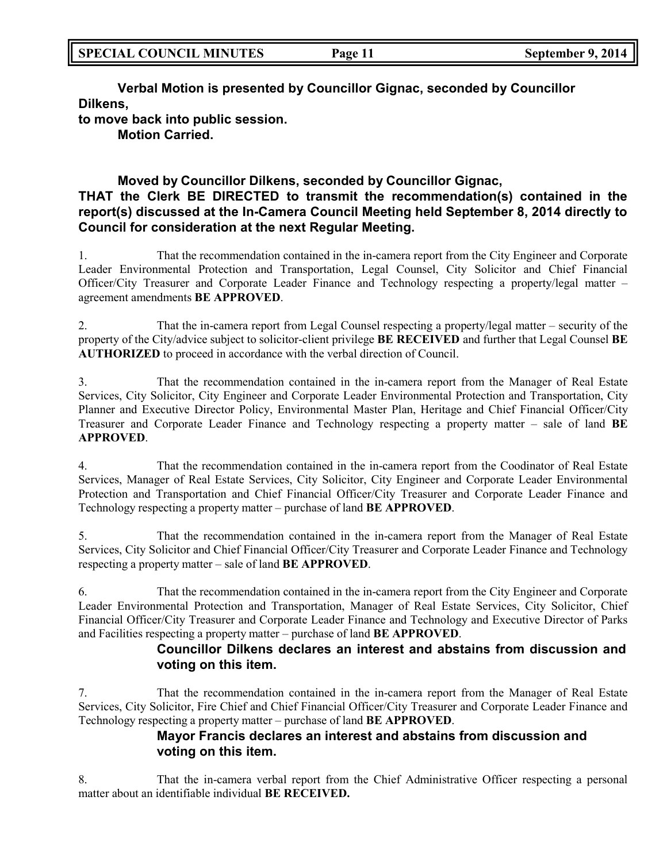**Verbal Motion is presented by Councillor Gignac, seconded by Councillor Dilkens,**

**to move back into public session. Motion Carried.**

# **Moved by Councillor Dilkens, seconded by Councillor Gignac, THAT the Clerk BE DIRECTED to transmit the recommendation(s) contained in the report(s) discussed at the In-Camera Council Meeting held September 8, 2014 directly to Council for consideration at the next Regular Meeting.**

1. That the recommendation contained in the in-camera report from the City Engineer and Corporate Leader Environmental Protection and Transportation, Legal Counsel, City Solicitor and Chief Financial Officer/City Treasurer and Corporate Leader Finance and Technology respecting a property/legal matter – agreement amendments **BE APPROVED**.

2. That the in-camera report from Legal Counsel respecting a property/legal matter – security of the property of the City/advice subject to solicitor-client privilege **BE RECEIVED** and further that Legal Counsel **BE AUTHORIZED** to proceed in accordance with the verbal direction of Council.

3. That the recommendation contained in the in-camera report from the Manager of Real Estate Services, City Solicitor, City Engineer and Corporate Leader Environmental Protection and Transportation, City Planner and Executive Director Policy, Environmental Master Plan, Heritage and Chief Financial Officer/City Treasurer and Corporate Leader Finance and Technology respecting a property matter – sale of land **BE APPROVED**.

4. That the recommendation contained in the in-camera report from the Coodinator of Real Estate Services, Manager of Real Estate Services, City Solicitor, City Engineer and Corporate Leader Environmental Protection and Transportation and Chief Financial Officer/City Treasurer and Corporate Leader Finance and Technology respecting a property matter – purchase of land **BE APPROVED**.

5. That the recommendation contained in the in-camera report from the Manager of Real Estate Services, City Solicitor and Chief Financial Officer/City Treasurer and Corporate Leader Finance and Technology respecting a property matter – sale of land **BE APPROVED**.

6. That the recommendation contained in the in-camera report from the City Engineer and Corporate Leader Environmental Protection and Transportation, Manager of Real Estate Services, City Solicitor, Chief Financial Officer/City Treasurer and Corporate Leader Finance and Technology and Executive Director of Parks and Facilities respecting a property matter – purchase of land **BE APPROVED**.

# **Councillor Dilkens declares an interest and abstains from discussion and voting on this item.**

7. That the recommendation contained in the in-camera report from the Manager of Real Estate Services, City Solicitor, Fire Chief and Chief Financial Officer/City Treasurer and Corporate Leader Finance and Technology respecting a property matter – purchase of land **BE APPROVED**.

# **Mayor Francis declares an interest and abstains from discussion and voting on this item.**

8. That the in-camera verbal report from the Chief Administrative Officer respecting a personal matter about an identifiable individual **BE RECEIVED.**